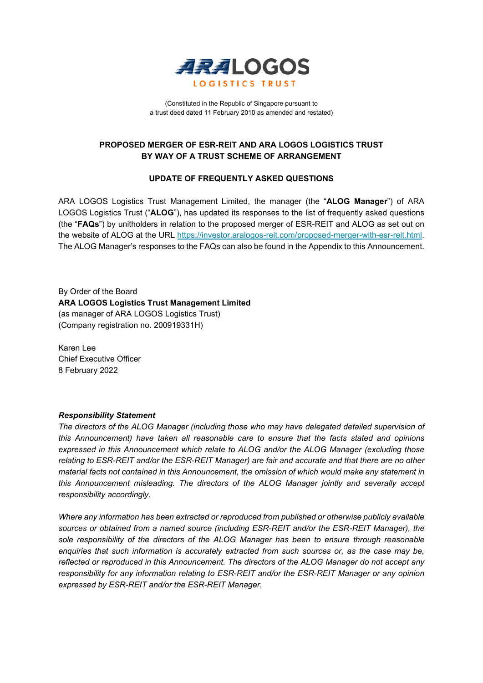

(Constituted in the Republic of Singapore pursuant to a trust deed dated 11 February 2010 as amended and restated)

#### **PROPOSED MERGER OF ESR-REIT AND ARA LOGOS LOGISTICS TRUST BY WAY OF A TRUST SCHEME OF ARRANGEMENT**

#### **UPDATE OF FREQUENTLY ASKED QUESTIONS**

ARA LOGOS Logistics Trust Management Limited, the manager (the "**ALOG Manager**") of ARA LOGOS Logistics Trust ("**ALOG**"), has updated its responses to the list of frequently asked questions (the "**FAQs**") by unitholders in relation to the proposed merger of ESR-REIT and ALOG as set out on the website of ALOG at the URL [https://investor.aralogos-reit.com/proposed-merger-with-esr-reit.html.](https://investor.aralogos-reit.com/proposed-merger-with-esr-reit.html) The ALOG Manager's responses to the FAQs can also be found in the Appendix to this Announcement.

By Order of the Board **ARA LOGOS Logistics Trust Management Limited**  (as manager of ARA LOGOS Logistics Trust) (Company registration no. 200919331H)

Karen Lee Chief Executive Officer 8 February 2022

#### *Responsibility Statement*

*The directors of the ALOG Manager (including those who may have delegated detailed supervision of this Announcement) have taken all reasonable care to ensure that the facts stated and opinions expressed in this Announcement which relate to ALOG and/or the ALOG Manager (excluding those relating to ESR-REIT and/or the ESR-REIT Manager) are fair and accurate and that there are no other material facts not contained in this Announcement, the omission of which would make any statement in this Announcement misleading. The directors of the ALOG Manager jointly and severally accept responsibility accordingly.*

*Where any information has been extracted or reproduced from published or otherwise publicly available sources or obtained from a named source (including ESR-REIT and/or the ESR-REIT Manager), the sole responsibility of the directors of the ALOG Manager has been to ensure through reasonable enquiries that such information is accurately extracted from such sources or, as the case may be, reflected or reproduced in this Announcement. The directors of the ALOG Manager do not accept any responsibility for any information relating to ESR-REIT and/or the ESR-REIT Manager or any opinion expressed by ESR-REIT and/or the ESR-REIT Manager.*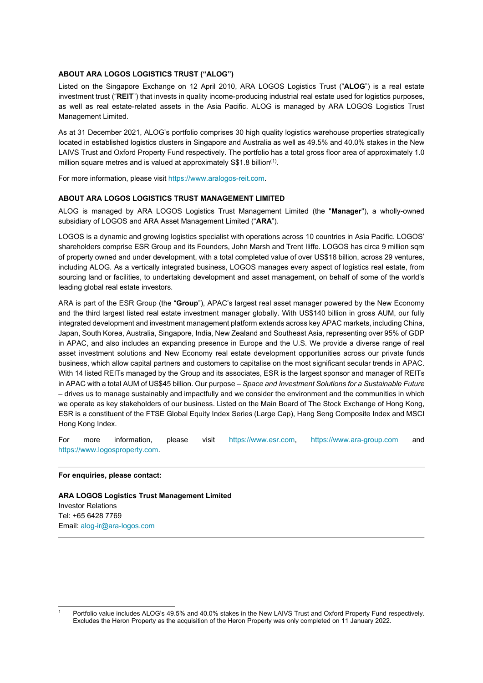#### **ABOUT ARA LOGOS LOGISTICS TRUST ("ALOG")**

Listed on the Singapore Exchange on 12 April 2010, ARA LOGOS Logistics Trust ("**ALOG**") is a real estate investment trust ("**REIT**") that invests in quality income-producing industrial real estate used for logistics purposes, as well as real estate-related assets in the Asia Pacific. ALOG is managed by ARA LOGOS Logistics Trust Management Limited.

As at 31 December 2021, ALOG's portfolio comprises 30 high quality logistics warehouse properties strategically located in established logistics clusters in Singapore and Australia as well as 49.5% and 40.0% stakes in the New LAIVS Trust and Oxford Property Fund respectively. The portfolio has a total gross floor area of approximately 1.0 million square metres and is valued at approximately  $\text{\$\$1.8}$  $\text{\$\$1.8}$  $\text{\$\$1.8}$  billion<sup>(1)</sup>.

For more information, please visit https://www.aralogos-reit.com.

#### **ABOUT ARA LOGOS LOGISTICS TRUST MANAGEMENT LIMITED**

ALOG is managed by ARA LOGOS Logistics Trust Management Limited (the "**Manager**"), a wholly-owned subsidiary of LOGOS and ARA Asset Management Limited ("**ARA**").

LOGOS is a dynamic and growing logistics specialist with operations across 10 countries in Asia Pacific. LOGOS' shareholders comprise ESR Group and its Founders, John Marsh and Trent Iliffe. LOGOS has circa 9 million sqm of property owned and under development, with a total completed value of over US\$18 billion, across 29 ventures, including ALOG. As a vertically integrated business, LOGOS manages every aspect of logistics real estate, from sourcing land or facilities, to undertaking development and asset management, on behalf of some of the world's leading global real estate investors.

ARA is part of the ESR Group (the "**Group**"), APAC's largest real asset manager powered by the New Economy and the third largest listed real estate investment manager globally. With US\$140 billion in gross AUM, our fully integrated development and investment management platform extends across key APAC markets, including China, Japan, South Korea, Australia, Singapore, India, New Zealand and Southeast Asia, representing over 95% of GDP in APAC, and also includes an expanding presence in Europe and the U.S. We provide a diverse range of real asset investment solutions and New Economy real estate development opportunities across our private funds business, which allow capital partners and customers to capitalise on the most significant secular trends in APAC. With 14 listed REITs managed by the Group and its associates. ESR is the largest sponsor and manager of REITs in APAC with a total AUM of US\$45 billion. Our purpose – *Space and Investment Solutions for a Sustainable Future* – drives us to manage sustainably and impactfully and we consider the environment and the communities in which we operate as key stakeholders of our business. Listed on the Main Board of The Stock Exchange of Hong Kong, ESR is a constituent of the FTSE Global Equity Index Series (Large Cap), Hang Seng Composite Index and MSCI Hong Kong Index.

For more information, please visit [https://www.esr.com,](https://www.esr.com/) [https://www.ara-group.com](https://www.ara-group.com/) and [https://www.logosproperty.com.](https://www.logosproperty.com/)

#### **For enquiries, please contact:**

**ARA LOGOS Logistics Trust Management Limited** Investor Relations Tel: +65 6428 7769 Email[: alog-ir@ara-logos.com](mailto:alog-ir@ara-logos.com)

<span id="page-1-0"></span><sup>1</sup> Portfolio value includes ALOG's 49.5% and 40.0% stakes in the New LAIVS Trust and Oxford Property Fund respectively. Excludes the Heron Property as the acquisition of the Heron Property was only completed on 11 January 2022.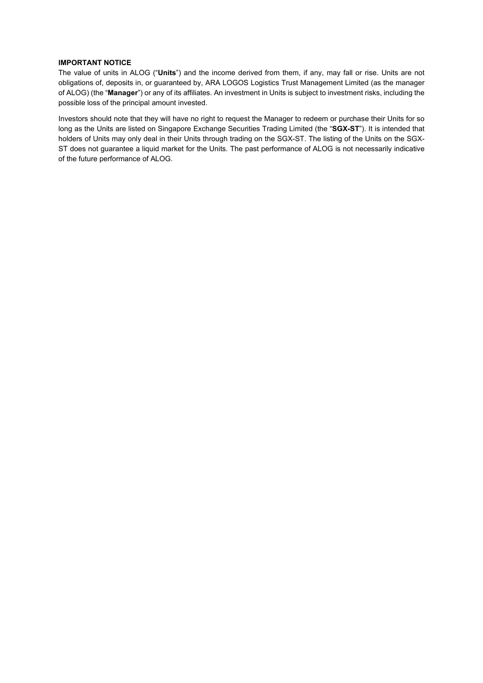#### **IMPORTANT NOTICE**

The value of units in ALOG ("**Units**") and the income derived from them, if any, may fall or rise. Units are not obligations of, deposits in, or guaranteed by, ARA LOGOS Logistics Trust Management Limited (as the manager of ALOG) (the "**Manager**") or any of its affiliates. An investment in Units is subject to investment risks, including the possible loss of the principal amount invested.

Investors should note that they will have no right to request the Manager to redeem or purchase their Units for so long as the Units are listed on Singapore Exchange Securities Trading Limited (the "**SGX-ST**"). It is intended that holders of Units may only deal in their Units through trading on the SGX-ST. The listing of the Units on the SGX-ST does not guarantee a liquid market for the Units. The past performance of ALOG is not necessarily indicative of the future performance of ALOG.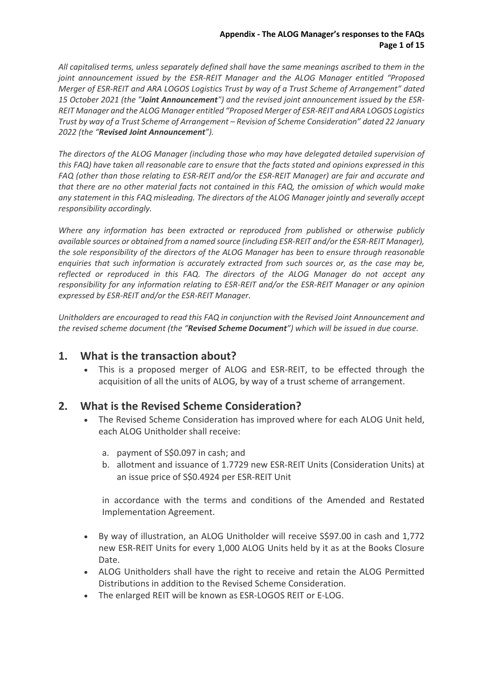*All capitalised terms, unless separately defined shall have the same meanings ascribed to them in the joint announcement issued by the ESR-REIT Manager and the ALOG Manager entitled "Proposed Merger of ESR-REIT and ARA LOGOS Logistics Trust by way of a Trust Scheme of Arrangement" dated 15 October 2021 (the "Joint Announcement") and the revised joint announcement issued by the ESR-REIT Manager and the ALOG Manager entitled "Proposed Merger of ESR-REIT and ARA LOGOS Logistics Trust by way of a Trust Scheme of Arrangement – Revision of Scheme Consideration" dated 22 January 2022 (the "Revised Joint Announcement").*

*The directors of the ALOG Manager (including those who may have delegated detailed supervision of this FAQ) have taken all reasonable care to ensure that the facts stated and opinions expressed in this FAQ (other than those relating to ESR-REIT and/or the ESR-REIT Manager) are fair and accurate and that there are no other material facts not contained in this FAQ, the omission of which would make any statement in this FAQ misleading. The directors of the ALOG Manager jointly and severally accept responsibility accordingly.*

*Where any information has been extracted or reproduced from published or otherwise publicly available sources or obtained from a named source (including ESR-REIT and/or the ESR-REIT Manager), the sole responsibility of the directors of the ALOG Manager has been to ensure through reasonable enquiries that such information is accurately extracted from such sources or, as the case may be, reflected or reproduced in this FAQ. The directors of the ALOG Manager do not accept any responsibility for any information relating to ESR-REIT and/or the ESR-REIT Manager or any opinion expressed by ESR-REIT and/or the ESR-REIT Manager.*

*Unitholders are encouraged to read this FAQ in conjunction with the Revised Joint Announcement and the revised scheme document (the "Revised Scheme Document") which will be issued in due course.* 

### **1. What is the transaction about?**

• This is a proposed merger of ALOG and ESR-REIT, to be effected through the acquisition of all the units of ALOG, by way of a trust scheme of arrangement.

### **2. What is the Revised Scheme Consideration?**

- The Revised Scheme Consideration has improved where for each ALOG Unit held, each ALOG Unitholder shall receive:
	- a. payment of S\$0.097 in cash; and
	- b. allotment and issuance of 1.7729 new ESR-REIT Units (Consideration Units) at an issue price of S\$0.4924 per ESR-REIT Unit

in accordance with the terms and conditions of the Amended and Restated Implementation Agreement.

- By way of illustration, an ALOG Unitholder will receive S\$97.00 in cash and 1,772 new ESR-REIT Units for every 1,000 ALOG Units held by it as at the Books Closure Date.
- ALOG Unitholders shall have the right to receive and retain the ALOG Permitted Distributions in addition to the Revised Scheme Consideration.
- The enlarged REIT will be known as ESR-LOGOS REIT or E-LOG.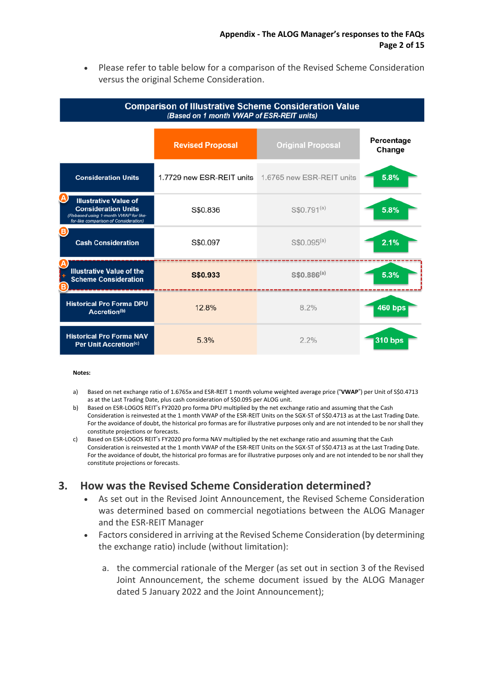• Please refer to table below for a comparison of the Revised Scheme Consideration versus the original Scheme Consideration.

#### **Comparison of Illustrative Scheme Consideration Value** (Based on 1 month VWAP of ESR-REIT units) Percentage **Original Proposal Revised Proposal** Change 1.7729 new ESR-REIT units 1.6765 new ESR-REIT units **Consideration Units** 5.8% **Illustrative Value of Consideration Units** S\$0.836 S\$0.791<sup>(a)</sup> 5.8% d using **IN VANAD for Ill**  $S$0.095<sup>(a)</sup>$ **Cash Consideration** S\$0.097  $2.1%$ **Illustrative Value of the**  $$$0.886^{(a)}$$ S\$0.933 5.3% **Scheme Consideration Historical Pro Forma DPU** 12.8% 8.2% **460 bps** Accretion(b) **Historical Pro Forma NAV**  $2.2%$ **310 bps** 5.3% Per Unit Accretion(c)

#### **Notes:**

- a) Based on net exchange ratio of 1.6765x and ESR-REIT 1 month volume weighted average price ("VWAP") per Unit of S\$0.4713 as at the Last Trading Date, plus cash consideration of S\$0.095 per ALOG unit.
- b) Based on ESR-LOGOS REIT's FY2020 pro forma DPU multiplied by the net exchange ratio and assuming that the Cash Consideration is reinvested at the 1 month VWAP of the ESR-REIT Units on the SGX-ST of S\$0.4713 as at the Last Trading Date. For the avoidance of doubt, the historical pro formas are for illustrative purposes only and are not intended to be nor shall they constitute projections or forecasts.
- c) Based on ESR-LOGOS REIT's FY2020 pro forma NAV multiplied by the net exchange ratio and assuming that the Cash Consideration is reinvested at the 1 month VWAP of the ESR-REIT Units on the SGX-ST of S\$0.4713 as at the Last Trading Date. For the avoidance of doubt, the historical pro formas are for illustrative purposes only and are not intended to be nor shall they constitute projections or forecasts.

### **3. How was the Revised Scheme Consideration determined?**

- As set out in the Revised Joint Announcement, the Revised Scheme Consideration was determined based on commercial negotiations between the ALOG Manager and the ESR-REIT Manager
- Factors considered in arriving at the Revised Scheme Consideration (by determining the exchange ratio) include (without limitation):
	- a. the commercial rationale of the Merger (as set out in section 3 of the Revised Joint Announcement, the scheme document issued by the ALOG Manager dated 5 January 2022 and the Joint Announcement);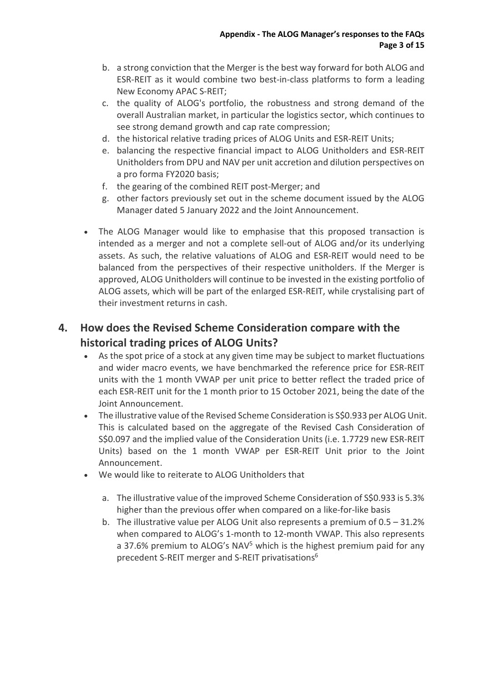- b. a strong conviction that the Merger is the best way forward for both ALOG and ESR-REIT as it would combine two best-in-class platforms to form a leading New Economy APAC S-REIT;
- c. the quality of ALOG's portfolio, the robustness and strong demand of the overall Australian market, in particular the logistics sector, which continues to see strong demand growth and cap rate compression;
- d. the historical relative trading prices of ALOG Units and ESR-REIT Units;
- e. balancing the respective financial impact to ALOG Unitholders and ESR-REIT Unitholders from DPU and NAV per unit accretion and dilution perspectives on a pro forma FY2020 basis;
- f. the gearing of the combined REIT post-Merger; and
- g. other factors previously set out in the scheme document issued by the ALOG Manager dated 5 January 2022 and the Joint Announcement.
- The ALOG Manager would like to emphasise that this proposed transaction is intended as a merger and not a complete sell-out of ALOG and/or its underlying assets. As such, the relative valuations of ALOG and ESR-REIT would need to be balanced from the perspectives of their respective unitholders. If the Merger is approved, ALOG Unitholders will continue to be invested in the existing portfolio of ALOG assets, which will be part of the enlarged ESR-REIT, while crystalising part of their investment returns in cash.

# **4. How does the Revised Scheme Consideration compare with the historical trading prices of ALOG Units?**

- As the spot price of a stock at any given time may be subject to market fluctuations and wider macro events, we have benchmarked the reference price for ESR-REIT units with the 1 month VWAP per unit price to better reflect the traded price of each ESR-REIT unit for the 1 month prior to 15 October 2021, being the date of the Joint Announcement.
- The illustrative value of the Revised Scheme Consideration is S\$0.933 per ALOG Unit. This is calculated based on the aggregate of the Revised Cash Consideration of S\$0.097 and the implied value of the Consideration Units (i.e. 1.7729 new ESR-REIT Units) based on the 1 month VWAP per ESR-REIT Unit prior to the Joint Announcement.
- We would like to reiterate to ALOG Unitholders that
	- a. The illustrative value of the improved Scheme Consideration of S\$0.933 is 5.3% higher than the previous offer when compared on a like-for-like basis
	- b. The illustrative value per ALOG Unit also represents a premium of 0.5 31.2% when compared to ALOG's 1-month to 12-month VWAP. This also represents a 37.6% premium to ALOG's NAV<sup>5</sup> which is the highest premium paid for any precedent S-REIT merger and S-REIT privatisations<sup>6</sup>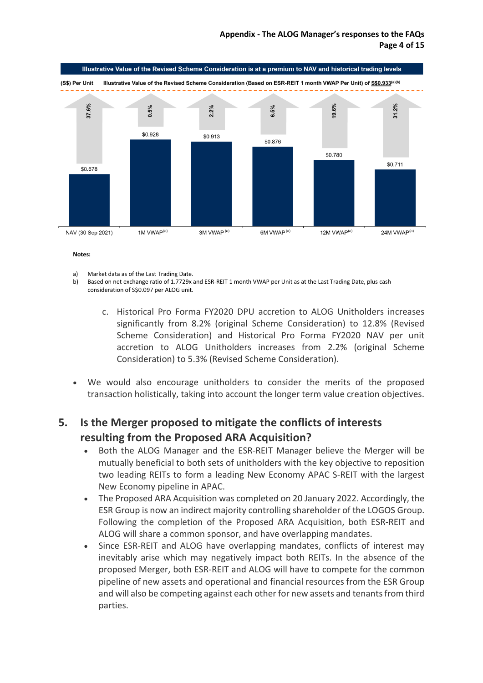

#### **Notes:**

- a) Market data as of the Last Trading Date.
- b) Based on net exchange ratio of 1.7729x and ESR-REIT 1 month VWAP per Unit as at the Last Trading Date, plus cash consideration of S\$0.097 per ALOG unit.
	- c. Historical Pro Forma FY2020 DPU accretion to ALOG Unitholders increases significantly from 8.2% (original Scheme Consideration) to 12.8% (Revised Scheme Consideration) and Historical Pro Forma FY2020 NAV per unit accretion to ALOG Unitholders increases from 2.2% (original Scheme Consideration) to 5.3% (Revised Scheme Consideration).
- We would also encourage unitholders to consider the merits of the proposed transaction holistically, taking into account the longer term value creation objectives.

# **5. Is the Merger proposed to mitigate the conflicts of interests resulting from the Proposed ARA Acquisition?**

- Both the ALOG Manager and the ESR-REIT Manager believe the Merger will be mutually beneficial to both sets of unitholders with the key objective to reposition two leading REITs to form a leading New Economy APAC S-REIT with the largest New Economy pipeline in APAC.
- The Proposed ARA Acquisition was completed on 20 January 2022. Accordingly, the ESR Group is now an indirect majority controlling shareholder of the LOGOS Group. Following the completion of the Proposed ARA Acquisition, both ESR-REIT and ALOG will share a common sponsor, and have overlapping mandates.
- Since ESR-REIT and ALOG have overlapping mandates, conflicts of interest may inevitably arise which may negatively impact both REITs. In the absence of the proposed Merger, both ESR-REIT and ALOG will have to compete for the common pipeline of new assets and operational and financial resources from the ESR Group and will also be competing against each other for new assets and tenants from third parties.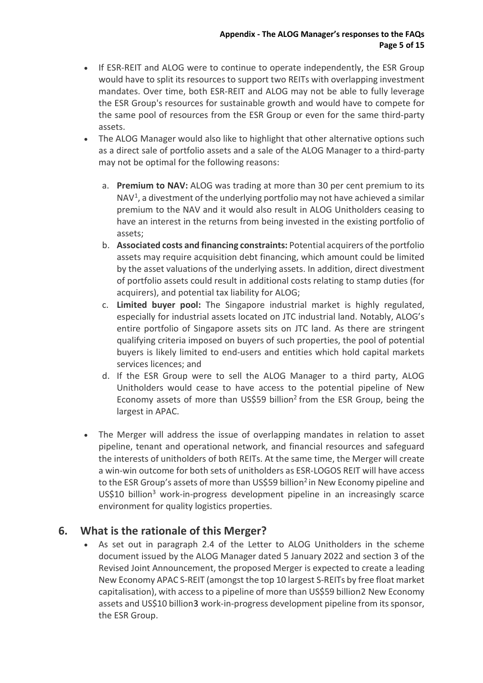- If ESR-REIT and ALOG were to continue to operate independently, the ESR Group would have to split its resources to support two REITs with overlapping investment mandates. Over time, both ESR-REIT and ALOG may not be able to fully leverage the ESR Group's resources for sustainable growth and would have to compete for the same pool of resources from the ESR Group or even for the same third-party assets.
- The ALOG Manager would also like to highlight that other alternative options such as a direct sale of portfolio assets and a sale of the ALOG Manager to a third-party may not be optimal for the following reasons:
	- a. **Premium to NAV:** ALOG was trading at more than 30 per cent premium to its  $NAV<sup>1</sup>$  $NAV<sup>1</sup>$  $NAV<sup>1</sup>$ , a divestment of the underlying portfolio may not have achieved a similar premium to the NAV and it would also result in ALOG Unitholders ceasing to have an interest in the returns from being invested in the existing portfolio of assets;
	- b. **Associated costs and financing constraints:** Potential acquirers of the portfolio assets may require acquisition debt financing, which amount could be limited by the asset valuations of the underlying assets. In addition, direct divestment of portfolio assets could result in additional costs relating to stamp duties (for acquirers), and potential tax liability for ALOG;
	- c. **Limited buyer pool:** The Singapore industrial market is highly regulated, especially for industrial assets located on JTC industrial land. Notably, ALOG's entire portfolio of Singapore assets sits on JTC land. As there are stringent qualifying criteria imposed on buyers of such properties, the pool of potential buyers is likely limited to end-users and entities which hold capital markets services licences; and
	- d. If the ESR Group were to sell the ALOG Manager to a third party, ALOG Unitholders would cease to have access to the potential pipeline of New Economy assets of more than US\$59 billion<sup>2</sup> from the ESR Group, being the largest in APAC.
- The Merger will address the issue of overlapping mandates in relation to asset pipeline, tenant and operational network, and financial resources and safeguard the interests of unitholders of both REITs. At the same time, the Merger will create a win-win outcome for both sets of unitholders as ESR-LOGOS REIT will have access to the ESR Group's assets of more than US\$59 billion<sup>2</sup> in New Economy pipeline and US\$10 billion3 work-in-progress development pipeline in an increasingly scarce environment for quality logistics properties.

## **6. What is the rationale of this Merger?**

• As set out in paragraph 2.4 of the Letter to ALOG Unitholders in the scheme document issued by the ALOG Manager dated 5 January 2022 and section 3 of the Revised Joint Announcement, the proposed Merger is expected to create a leading New Economy APAC S-REIT (amongst the top 10 largest S-REITs by free float market capitalisation), with access to a pipeline of more than US\$59 billion[2](#page-16-1) New Economy assets and US\$10 billion[3](#page-16-2) work-in-progress development pipeline from its sponsor, the ESR Group.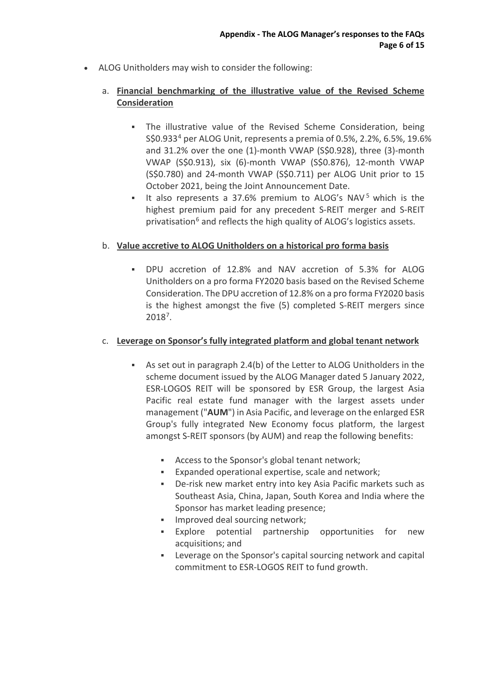• ALOG Unitholders may wish to consider the following:

### a. **Financial benchmarking of the illustrative value of the Revised Scheme Consideration**

- The illustrative value of the Revised Scheme Consideration, being S\$0.93[34](#page-16-3) per ALOG Unit, represents a premia of 0.5%, 2.2%, 6.5%, 19.6% and 31.2% over the one (1)-month VWAP (S\$0.928), three (3)-month VWAP (S\$0.913), six (6)-month VWAP (S\$0.876), 12-month VWAP (S\$0.780) and 24-month VWAP (S\$0.711) per ALOG Unit prior to 15 October 2021, being the Joint Announcement Date.
- It also represents a 37.6% premium to ALOG's NAV<sup>[5](#page-16-4)</sup> which is the highest premium paid for any precedent S-REIT merger and S-REIT privatisation<sup>[6](#page-16-5)</sup> and reflects the high quality of ALOG's logistics assets.

### b. **Value accretive to ALOG Unitholders on a historical pro forma basis**

 DPU accretion of 12.8% and NAV accretion of 5.3% for ALOG Unitholders on a pro forma FY2020 basis based on the Revised Scheme Consideration. The DPU accretion of 12.8% on a pro forma FY2020 basis is the highest amongst the five (5) completed S-REIT mergers since 2018[7.](#page-16-6)

#### c. **Leverage on Sponsor's fully integrated platform and global tenant network**

- As set out in paragraph 2.4(b) of the Letter to ALOG Unitholders in the scheme document issued by the ALOG Manager dated 5 January 2022, ESR-LOGOS REIT will be sponsored by ESR Group, the largest Asia Pacific real estate fund manager with the largest assets under management ("**AUM**") in Asia Pacific, and leverage on the enlarged ESR Group's fully integrated New Economy focus platform, the largest amongst S-REIT sponsors (by AUM) and reap the following benefits:
	- Access to the Sponsor's global tenant network;
	- Expanded operational expertise, scale and network;
	- De-risk new market entry into key Asia Pacific markets such as Southeast Asia, China, Japan, South Korea and India where the Sponsor has market leading presence;
	- **IMPROVED 19** Improved deal sourcing network;
	- Explore potential partnership opportunities for new acquisitions; and
	- Leverage on the Sponsor's capital sourcing network and capital commitment to ESR-LOGOS REIT to fund growth.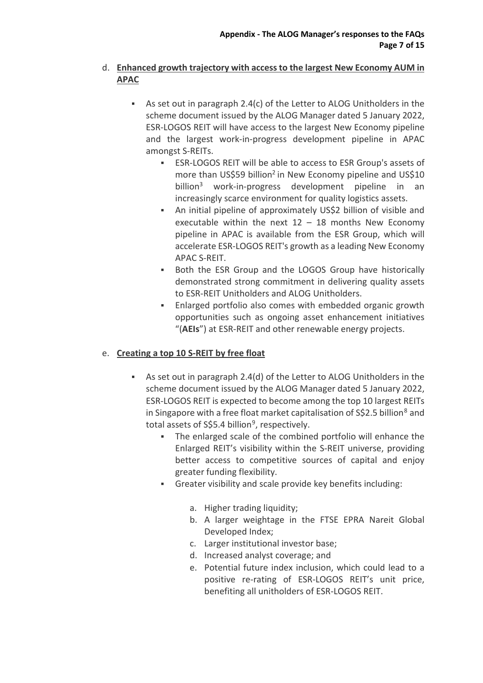### d. **Enhanced growth trajectory with access to the largest New Economy AUM in APAC**

- As set out in paragraph 2.4(c) of the Letter to ALOG Unitholders in the scheme document issued by the ALOG Manager dated 5 January 2022, ESR-LOGOS REIT will have access to the largest New Economy pipeline and the largest work-in-progress development pipeline in APAC amongst S-REITs.
	- ESR-LOGOS REIT will be able to access to ESR Group's assets of more than US\$59 billion<sup>2</sup> in New Economy pipeline and US\$10 billion<sup>3</sup> work-in-progress development pipeline in an increasingly scarce environment for quality logistics assets.
	- An initial pipeline of approximately US\$2 billion of visible and executable within the next  $12 - 18$  months New Economy pipeline in APAC is available from the ESR Group, which will accelerate ESR-LOGOS REIT's growth as a leading New Economy APAC S-REIT.
	- **Both the ESR Group and the LOGOS Group have historically** demonstrated strong commitment in delivering quality assets to ESR-REIT Unitholders and ALOG Unitholders.
	- Enlarged portfolio also comes with embedded organic growth opportunities such as ongoing asset enhancement initiatives "(**AEIs**") at ESR-REIT and other renewable energy projects.

### e. **Creating a top 10 S-REIT by free float**

- As set out in paragraph 2.4(d) of the Letter to ALOG Unitholders in the scheme document issued by the ALOG Manager dated 5 January 2022, ESR-LOGOS REIT is expected to become among the top 10 largest REITs in Singapore with a free float market capitalisation of  $S\$ 2.5 billion<sup>[8](#page-16-7)</sup> and total assets of  $S$5.4$  billion<sup>9</sup>, respectively.
	- The enlarged scale of the combined portfolio will enhance the Enlarged REIT's visibility within the S-REIT universe, providing better access to competitive sources of capital and enjoy greater funding flexibility.
	- Greater visibility and scale provide key benefits including:
		- a. Higher trading liquidity;
		- b. A larger weightage in the FTSE EPRA Nareit Global Developed Index;
		- c. Larger institutional investor base;
		- d. Increased analyst coverage; and
		- e. Potential future index inclusion, which could lead to a positive re-rating of ESR-LOGOS REIT's unit price, benefiting all unitholders of ESR-LOGOS REIT.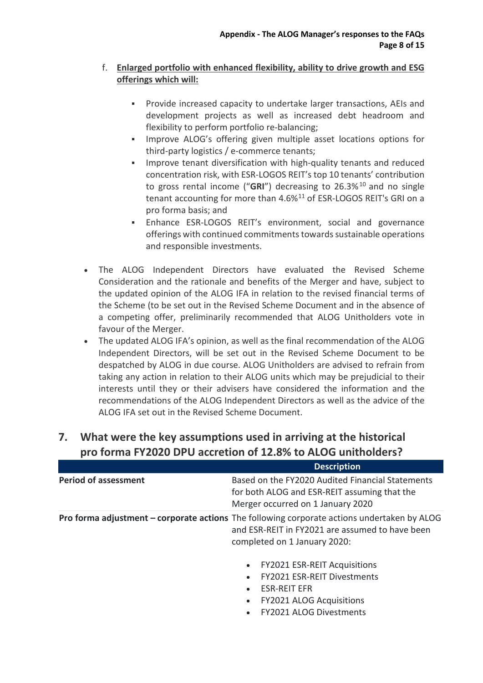### f. **Enlarged portfolio with enhanced flexibility, ability to drive growth and ESG offerings which will:**

- Provide increased capacity to undertake larger transactions, AEIs and development projects as well as increased debt headroom and flexibility to perform portfolio re-balancing;
- **IMPROVE ALOG's offering given multiple asset locations options for** third-party logistics / e-commerce tenants;
- Improve tenant diversification with high-quality tenants and reduced concentration risk, with ESR-LOGOS REIT's top 10 tenants' contribution to gross rental income ("GRI") decreasing to 26.3%<sup>[10](#page-16-9)</sup> and no single tenant accounting for more than  $4.6\%$ <sup>[11](#page-16-10)</sup> of ESR-LOGOS REIT's GRI on a pro forma basis; and
- Enhance ESR-LOGOS REIT's environment, social and governance offerings with continued commitments towards sustainable operations and responsible investments.
- The ALOG Independent Directors have evaluated the Revised Scheme Consideration and the rationale and benefits of the Merger and have, subject to the updated opinion of the ALOG IFA in relation to the revised financial terms of the Scheme (to be set out in the Revised Scheme Document and in the absence of a competing offer, preliminarily recommended that ALOG Unitholders vote in favour of the Merger.
- The updated ALOG IFA's opinion, as well as the final recommendation of the ALOG Independent Directors, will be set out in the Revised Scheme Document to be despatched by ALOG in due course. ALOG Unitholders are advised to refrain from taking any action in relation to their ALOG units which may be prejudicial to their interests until they or their advisers have considered the information and the recommendations of the ALOG Independent Directors as well as the advice of the ALOG IFA set out in the Revised Scheme Document.

|                             | <b>Description</b>                                                                                                                                                                    |
|-----------------------------|---------------------------------------------------------------------------------------------------------------------------------------------------------------------------------------|
| <b>Period of assessment</b> | Based on the FY2020 Audited Financial Statements<br>for both ALOG and ESR-REIT assuming that the<br>Merger occurred on 1 January 2020                                                 |
|                             | <b>Pro forma adjustment – corporate actions</b> The following corporate actions undertaken by ALOG<br>and ESR-REIT in FY2021 are assumed to have been<br>completed on 1 January 2020: |
|                             | <b>FY2021 ESR-REIT Acquisitions</b><br>$\bullet$                                                                                                                                      |
|                             | <b>FY2021 ESR-REIT Divestments</b>                                                                                                                                                    |
|                             | <b>ESR-REIT EFR</b>                                                                                                                                                                   |
|                             | <b>FY2021 ALOG Acquisitions</b>                                                                                                                                                       |
|                             | <b>FY2021 ALOG Divestments</b>                                                                                                                                                        |

# **7. What were the key assumptions used in arriving at the historical pro forma FY2020 DPU accretion of 12.8% to ALOG unitholders?**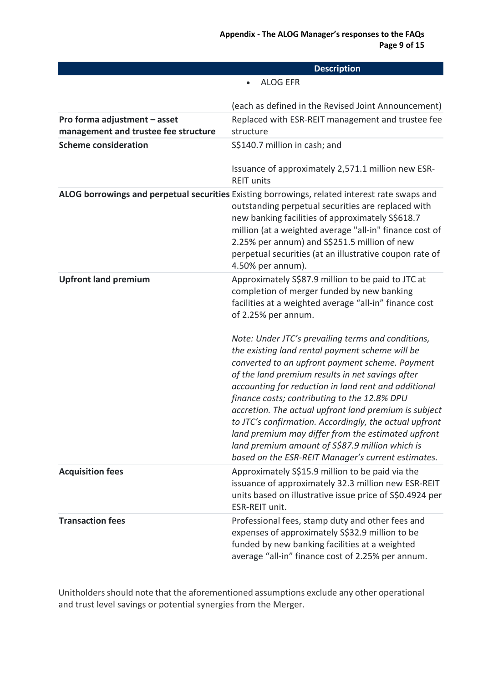|                                                                      | <b>Description</b>                                                                                                                                                                                                                                                                                                                                                                                                                                                                                                                                                                                     |
|----------------------------------------------------------------------|--------------------------------------------------------------------------------------------------------------------------------------------------------------------------------------------------------------------------------------------------------------------------------------------------------------------------------------------------------------------------------------------------------------------------------------------------------------------------------------------------------------------------------------------------------------------------------------------------------|
|                                                                      | <b>ALOG EFR</b>                                                                                                                                                                                                                                                                                                                                                                                                                                                                                                                                                                                        |
|                                                                      | (each as defined in the Revised Joint Announcement)                                                                                                                                                                                                                                                                                                                                                                                                                                                                                                                                                    |
| Pro forma adjustment - asset<br>management and trustee fee structure | Replaced with ESR-REIT management and trustee fee<br>structure                                                                                                                                                                                                                                                                                                                                                                                                                                                                                                                                         |
| <b>Scheme consideration</b>                                          | S\$140.7 million in cash; and                                                                                                                                                                                                                                                                                                                                                                                                                                                                                                                                                                          |
|                                                                      | Issuance of approximately 2,571.1 million new ESR-<br><b>REIT units</b>                                                                                                                                                                                                                                                                                                                                                                                                                                                                                                                                |
|                                                                      | ALOG borrowings and perpetual securities Existing borrowings, related interest rate swaps and<br>outstanding perpetual securities are replaced with<br>new banking facilities of approximately S\$618.7<br>million (at a weighted average "all-in" finance cost of<br>2.25% per annum) and S\$251.5 million of new<br>perpetual securities (at an illustrative coupon rate of<br>4.50% per annum).                                                                                                                                                                                                     |
| <b>Upfront land premium</b>                                          | Approximately S\$87.9 million to be paid to JTC at<br>completion of merger funded by new banking<br>facilities at a weighted average "all-in" finance cost<br>of 2.25% per annum.                                                                                                                                                                                                                                                                                                                                                                                                                      |
|                                                                      | Note: Under JTC's prevailing terms and conditions,<br>the existing land rental payment scheme will be<br>converted to an upfront payment scheme. Payment<br>of the land premium results in net savings after<br>accounting for reduction in land rent and additional<br>finance costs; contributing to the 12.8% DPU<br>accretion. The actual upfront land premium is subject<br>to JTC's confirmation. Accordingly, the actual upfront<br>land premium may differ from the estimated upfront<br>land premium amount of S\$87.9 million which is<br>based on the ESR-REIT Manager's current estimates. |
| <b>Acquisition fees</b>                                              | Approximately S\$15.9 million to be paid via the<br>issuance of approximately 32.3 million new ESR-REIT<br>units based on illustrative issue price of S\$0.4924 per<br>ESR-REIT unit.                                                                                                                                                                                                                                                                                                                                                                                                                  |
| <b>Transaction fees</b>                                              | Professional fees, stamp duty and other fees and<br>expenses of approximately S\$32.9 million to be<br>funded by new banking facilities at a weighted<br>average "all-in" finance cost of 2.25% per annum.                                                                                                                                                                                                                                                                                                                                                                                             |

Unitholders should note that the aforementioned assumptions exclude any other operational and trust level savings or potential synergies from the Merger.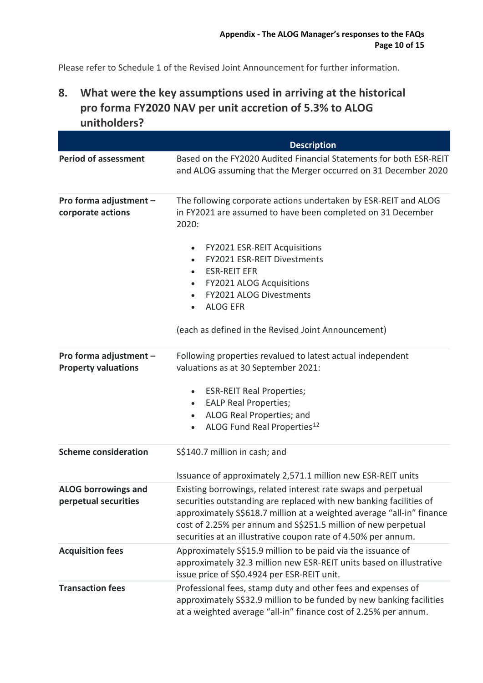Please refer to Schedule 1 of the Revised Joint Announcement for further information.

# **8. What were the key assumptions used in arriving at the historical pro forma FY2020 NAV per unit accretion of 5.3% to ALOG unitholders?**

|                                                      | <b>Description</b>                                                                                                                                                                                                                                                                                                                                                                                                                                          |
|------------------------------------------------------|-------------------------------------------------------------------------------------------------------------------------------------------------------------------------------------------------------------------------------------------------------------------------------------------------------------------------------------------------------------------------------------------------------------------------------------------------------------|
| <b>Period of assessment</b>                          | Based on the FY2020 Audited Financial Statements for both ESR-REIT<br>and ALOG assuming that the Merger occurred on 31 December 2020                                                                                                                                                                                                                                                                                                                        |
| Pro forma adjustment -<br>corporate actions          | The following corporate actions undertaken by ESR-REIT and ALOG<br>in FY2021 are assumed to have been completed on 31 December<br>2020:<br><b>FY2021 ESR-REIT Acquisitions</b><br>$\bullet$<br><b>FY2021 ESR-REIT Divestments</b><br>$\bullet$<br><b>ESR-REIT EFR</b><br>$\bullet$<br><b>FY2021 ALOG Acquisitions</b><br>$\bullet$<br><b>FY2021 ALOG Divestments</b><br>$\bullet$<br><b>ALOG EFR</b><br>(each as defined in the Revised Joint Announcement) |
| Pro forma adjustment -<br><b>Property valuations</b> | Following properties revalued to latest actual independent<br>valuations as at 30 September 2021:<br><b>ESR-REIT Real Properties;</b><br>٠<br><b>EALP Real Properties;</b><br>$\bullet$<br>ALOG Real Properties; and<br>$\bullet$<br>ALOG Fund Real Properties <sup>12</sup><br>$\bullet$                                                                                                                                                                   |
| <b>Scheme consideration</b>                          | S\$140.7 million in cash; and<br>Issuance of approximately 2,571.1 million new ESR-REIT units                                                                                                                                                                                                                                                                                                                                                               |
| <b>ALOG borrowings and</b><br>perpetual securities   | Existing borrowings, related interest rate swaps and perpetual<br>securities outstanding are replaced with new banking facilities of<br>approximately S\$618.7 million at a weighted average "all-in" finance<br>cost of 2.25% per annum and S\$251.5 million of new perpetual<br>securities at an illustrative coupon rate of 4.50% per annum.                                                                                                             |
| <b>Acquisition fees</b>                              | Approximately S\$15.9 million to be paid via the issuance of<br>approximately 32.3 million new ESR-REIT units based on illustrative<br>issue price of S\$0.4924 per ESR-REIT unit.                                                                                                                                                                                                                                                                          |
| <b>Transaction fees</b>                              | Professional fees, stamp duty and other fees and expenses of<br>approximately S\$32.9 million to be funded by new banking facilities<br>at a weighted average "all-in" finance cost of 2.25% per annum.                                                                                                                                                                                                                                                     |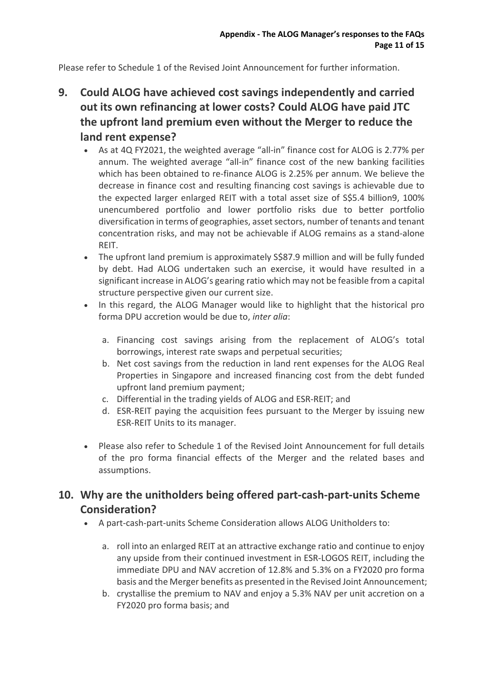Please refer to Schedule 1 of the Revised Joint Announcement for further information.

- **9. Could ALOG have achieved cost savings independently and carried out its own refinancing at lower costs? Could ALOG have paid JTC the upfront land premium even without the Merger to reduce the land rent expense?**
	- As at 4Q FY2021, the weighted average "all-in" finance cost for ALOG is 2.77% per annum. The weighted average "all-in" finance cost of the new banking facilities which has been obtained to re-finance ALOG is 2.25% per annum. We believe the decrease in finance cost and resulting financing cost savings is achievable due to the expected larger enlarged REIT with a total asset size of S\$5.4 billion9, 100% unencumbered portfolio and lower portfolio risks due to better portfolio diversification in terms of geographies, asset sectors, number of tenants and tenant concentration risks, and may not be achievable if ALOG remains as a stand-alone REIT.
	- The upfront land premium is approximately S\$87.9 million and will be fully funded by debt. Had ALOG undertaken such an exercise, it would have resulted in a significant increase in ALOG's gearing ratio which may not be feasible from a capital structure perspective given our current size.
	- In this regard, the ALOG Manager would like to highlight that the historical pro forma DPU accretion would be due to, *inter alia*:
		- a. Financing cost savings arising from the replacement of ALOG's total borrowings, interest rate swaps and perpetual securities;
		- b. Net cost savings from the reduction in land rent expenses for the ALOG Real Properties in Singapore and increased financing cost from the debt funded upfront land premium payment;
		- c. Differential in the trading yields of ALOG and ESR-REIT; and
		- d. ESR-REIT paying the acquisition fees pursuant to the Merger by issuing new ESR-REIT Units to its manager.
	- Please also refer to Schedule 1 of the Revised Joint Announcement for full details of the pro forma financial effects of the Merger and the related bases and assumptions.

## **10. Why are the unitholders being offered part-cash-part-units Scheme Consideration?**

- A part-cash-part-units Scheme Consideration allows ALOG Unitholders to:
	- a. roll into an enlarged REIT at an attractive exchange ratio and continue to enjoy any upside from their continued investment in ESR-LOGOS REIT, including the immediate DPU and NAV accretion of 12.8% and 5.3% on a FY2020 pro forma basis and the Merger benefits as presented in the Revised Joint Announcement;
	- b. crystallise the premium to NAV and enjoy a 5.3% NAV per unit accretion on a FY2020 pro forma basis; and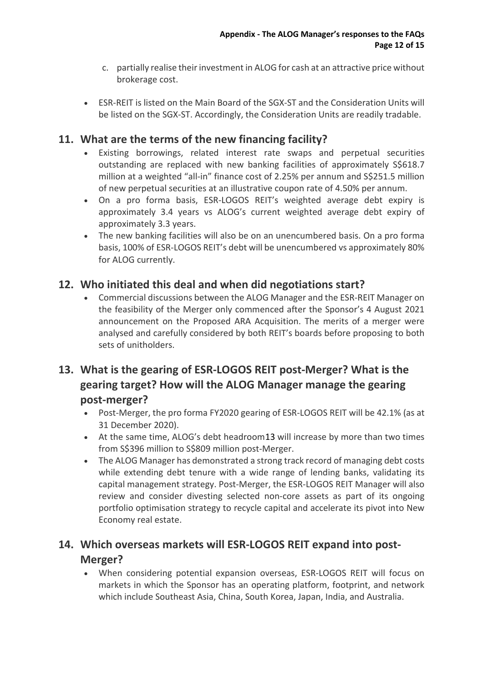- c. partially realise their investment in ALOG for cash at an attractive price without brokerage cost.
- ESR-REIT is listed on the Main Board of the SGX-ST and the Consideration Units will be listed on the SGX-ST. Accordingly, the Consideration Units are readily tradable.

## **11. What are the terms of the new financing facility?**

- Existing borrowings, related interest rate swaps and perpetual securities outstanding are replaced with new banking facilities of approximately S\$618.7 million at a weighted "all-in" finance cost of 2.25% per annum and S\$251.5 million of new perpetual securities at an illustrative coupon rate of 4.50% per annum.
- On a pro forma basis, ESR-LOGOS REIT's weighted average debt expiry is approximately 3.4 years vs ALOG's current weighted average debt expiry of approximately 3.3 years.
- The new banking facilities will also be on an unencumbered basis. On a pro forma basis, 100% of ESR-LOGOS REIT's debt will be unencumbered vs approximately 80% for ALOG currently.

## **12. Who initiated this deal and when did negotiations start?**

• Commercial discussions between the ALOG Manager and the ESR-REIT Manager on the feasibility of the Merger only commenced after the Sponsor's 4 August 2021 announcement on the Proposed ARA Acquisition. The merits of a merger were analysed and carefully considered by both REIT's boards before proposing to both sets of unitholders.

# **13. What is the gearing of ESR-LOGOS REIT post-Merger? What is the gearing target? How will the ALOG Manager manage the gearing post-merger?**

- Post-Merger, the pro forma FY2020 gearing of ESR-LOGOS REIT will be 42.1% (as at 31 December 2020).
- At the same time, ALOG's debt headroom[13](#page-17-1) will increase by more than two times from S\$396 million to S\$809 million post-Merger.
- The ALOG Manager has demonstrated a strong track record of managing debt costs while extending debt tenure with a wide range of lending banks, validating its capital management strategy. Post-Merger, the ESR-LOGOS REIT Manager will also review and consider divesting selected non-core assets as part of its ongoing portfolio optimisation strategy to recycle capital and accelerate its pivot into New Economy real estate.

# **14. Which overseas markets will ESR-LOGOS REIT expand into post-Merger?**

• When considering potential expansion overseas, ESR-LOGOS REIT will focus on markets in which the Sponsor has an operating platform, footprint, and network which include Southeast Asia, China, South Korea, Japan, India, and Australia.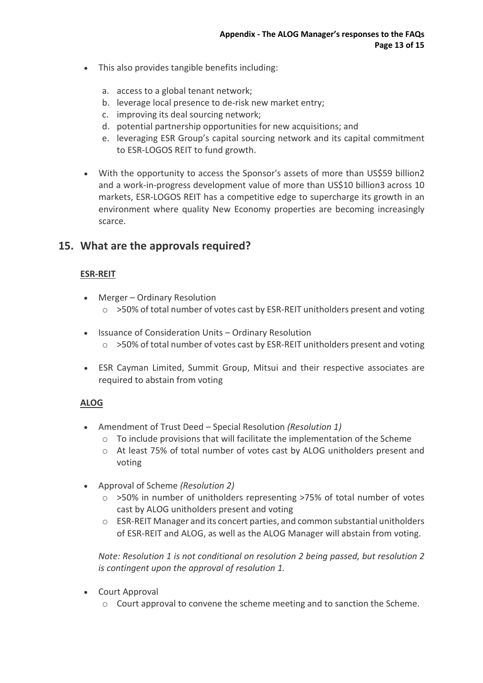- This also provides tangible benefits including:
	- a. access to a global tenant network;
	- b. leverage local presence to de-risk new market entry;
	- c. improving its deal sourcing network;
	- d. potential partnership opportunities for new acquisitions; and
	- e. leveraging ESR Group's capital sourcing network and its capital commitment to ESR-LOGOS REIT to fund growth.
- With the opportunity to access the Sponsor's assets of more than US\$59 billion2 and a work-in-progress development value of more than US\$10 billion3 across 10 markets, ESR-LOGOS REIT has a competitive edge to supercharge its growth in an environment where quality New Economy properties are becoming increasingly scarce.

## **15. What are the approvals required?**

### **ESR-REIT**

- Merger Ordinary Resolution  $\circ$  >50% of total number of votes cast by ESR-REIT unitholders present and voting
- Issuance of Consideration Units Ordinary Resolution o >50% of total number of votes cast by ESR-REIT unitholders present and voting
- ESR Cayman Limited, Summit Group, Mitsui and their respective associates are required to abstain from voting

### **ALOG**

- Amendment of Trust Deed Special Resolution *(Resolution 1)*
	- o To include provisions that will facilitate the implementation of the Scheme
	- o At least 75% of total number of votes cast by ALOG unitholders present and voting
- Approval of Scheme *(Resolution 2)* 
	- o >50% in number of unitholders representing >75% of total number of votes cast by ALOG unitholders present and voting
	- $\circ$  ESR-REIT Manager and its concert parties, and common substantial unitholders of ESR-REIT and ALOG, as well as the ALOG Manager will abstain from voting.

*Note: Resolution 1 is not conditional on resolution 2 being passed, but resolution 2 is contingent upon the approval of resolution 1.* 

- Court Approval
	- o Court approval to convene the scheme meeting and to sanction the Scheme.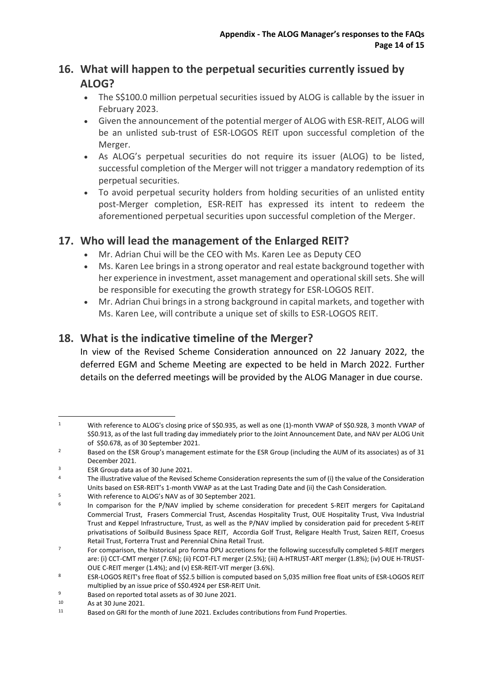# **16. What will happen to the perpetual securities currently issued by ALOG?**

- The S\$100.0 million perpetual securities issued by ALOG is callable by the issuer in February 2023.
- Given the announcement of the potential merger of ALOG with ESR-REIT, ALOG will be an unlisted sub-trust of ESR-LOGOS REIT upon successful completion of the Merger.
- As ALOG's perpetual securities do not require its issuer (ALOG) to be listed, successful completion of the Merger will not trigger a mandatory redemption of its perpetual securities.
- To avoid perpetual security holders from holding securities of an unlisted entity post-Merger completion, ESR-REIT has expressed its intent to redeem the aforementioned perpetual securities upon successful completion of the Merger.

## **17. Who will lead the management of the Enlarged REIT?**

- Mr. Adrian Chui will be the CEO with Ms. Karen Lee as Deputy CEO
- Ms. Karen Lee brings in a strong operator and real estate background together with her experience in investment, asset management and operational skill sets. She will be responsible for executing the growth strategy for ESR-LOGOS REIT.
- Mr. Adrian Chui brings in a strong background in capital markets, and together with Ms. Karen Lee, will contribute a unique set of skills to ESR-LOGOS REIT.

## **18. What is the indicative timeline of the Merger?**

In view of the Revised Scheme Consideration announced on 22 January 2022, the deferred EGM and Scheme Meeting are expected to be held in March 2022. Further details on the deferred meetings will be provided by the ALOG Manager in due course.

<span id="page-16-0"></span><sup>1</sup> With reference to ALOG's closing price of S\$0.935, as well as one (1)-month VWAP of S\$0.928, 3 month VWAP of S\$0.913, as of the last full trading day immediately prior to the Joint Announcement Date, and NAV per ALOG Unit

<span id="page-16-1"></span>of S\$0.678, as of 30 September 2021.<br>2 Based on the ESR Group's management estimate for the ESR Group (including the AUM of its associates) as of 31 December 2021.

<span id="page-16-3"></span><span id="page-16-2"></span><sup>&</sup>lt;sup>3</sup> ESR Group data as of 30 June 2021.<br><sup>4</sup> The illustrative value of the Revised Scheme Consideration represents the sum of (i) the value of the Consideration Units based on ESR-REIT's 1-month VWAP as at the Last Trading Date and (ii) the Cash Consideration.<br>With reference to ALOG's NAV as of 30 September 2021.<br>In comparison for the P/NAV implied by scheme consideration for prec

<span id="page-16-5"></span><span id="page-16-4"></span>Commercial Trust, Frasers Commercial Trust, Ascendas Hospitality Trust, OUE Hospitality Trust, Viva Industrial Trust and Keppel Infrastructure, Trust, as well as the P/NAV implied by consideration paid for precedent S-REIT privatisations of Soilbuild Business Space REIT, Accordia Golf Trust, Religare Health Trust, Saizen REIT, Croesus

<span id="page-16-6"></span>Retail Trust, Forterra Trust and Perennial China Retail Trust.<br>For comparison, the historical pro forma DPU accretions for the following successfully completed S-REIT mergers are: (i) CCT-CMT merger (7.6%); (ii) FCOT-FLT merger (2.5%); (iii) A-HTRUST-ART merger (1.8%); (iv) OUE H-TRUST-OUE C-REIT merger (1.4%); and (v) ESR-REIT-VIT merger (3.6%).

<span id="page-16-7"></span><sup>8</sup> ESR-LOGOS REIT's free float of S\$2.5 billion is computed based on 5,035 million free float units of ESR-LOGOS REIT multiplied by an issue price of S\$0.4924 per ESR-REIT Unit.

<span id="page-16-8"></span>

<span id="page-16-10"></span><span id="page-16-9"></span>

<sup>9</sup> Based on reported total assets as of 30 June 2021.<br>
10 As at 30 June 2021.<br>
11 Based on GRI for the month of June 2021. Excludes contributions from Fund Properties.